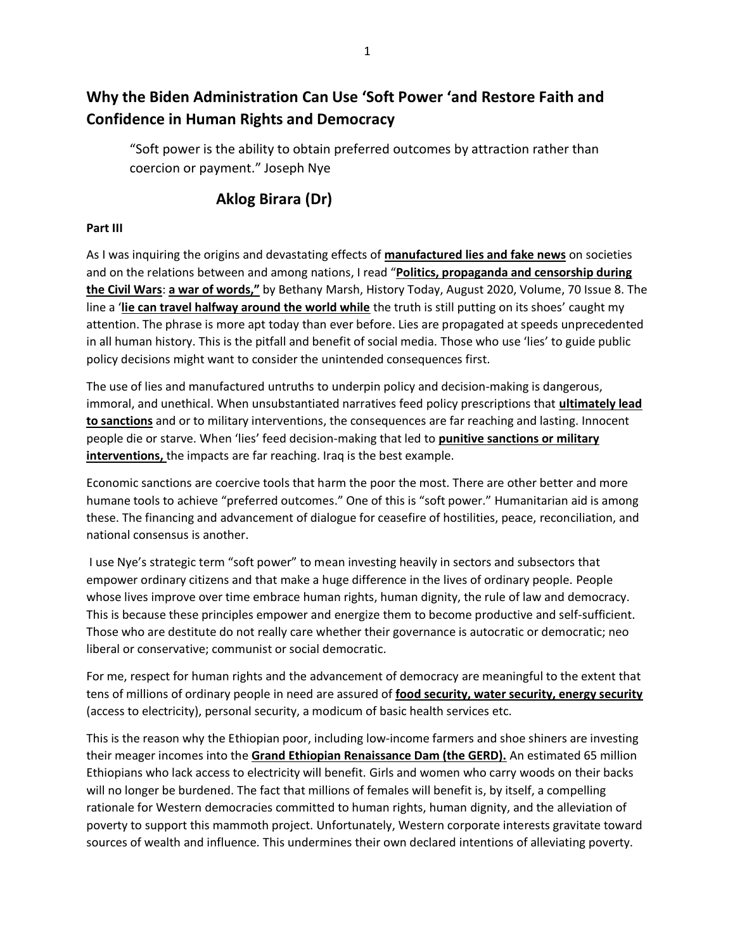# **Why the Biden Administration Can Use 'Soft Power 'and Restore Faith and Confidence in Human Rights and Democracy**

"Soft power is the ability to obtain preferred outcomes by attraction rather than coercion or payment." Joseph Nye

# **Aklog Birara (Dr)**

## **Part III**

As I was inquiring the origins and devastating effects of **manufactured lies and fake news** on societies and on the relations between and among nations, I read "**Politics, propaganda and censorship during the Civil Wars**: **a war of words,"** by Bethany Marsh, History Today, August 2020, Volume, 70 Issue 8. The line a '**lie can travel halfway around the world while** the truth is still putting on its shoes' caught my attention. The phrase is more apt today than ever before. Lies are propagated at speeds unprecedented in all human history. This is the pitfall and benefit of social media. Those who use 'lies' to guide public policy decisions might want to consider the unintended consequences first.

The use of lies and manufactured untruths to underpin policy and decision-making is dangerous, immoral, and unethical. When unsubstantiated narratives feed policy prescriptions that **ultimately lead to sanctions** and or to military interventions, the consequences are far reaching and lasting. Innocent people die or starve. When 'lies' feed decision-making that led to **punitive sanctions or military interventions,** the impacts are far reaching. Iraq is the best example.

Economic sanctions are coercive tools that harm the poor the most. There are other better and more humane tools to achieve "preferred outcomes." One of this is "soft power." Humanitarian aid is among these. The financing and advancement of dialogue for ceasefire of hostilities, peace, reconciliation, and national consensus is another.

I use Nye's strategic term "soft power" to mean investing heavily in sectors and subsectors that empower ordinary citizens and that make a huge difference in the lives of ordinary people. People whose lives improve over time embrace human rights, human dignity, the rule of law and democracy. This is because these principles empower and energize them to become productive and self-sufficient. Those who are destitute do not really care whether their governance is autocratic or democratic; neo liberal or conservative; communist or social democratic.

For me, respect for human rights and the advancement of democracy are meaningful to the extent that tens of millions of ordinary people in need are assured of **food security, water security, energy security**  (access to electricity), personal security, a modicum of basic health services etc.

This is the reason why the Ethiopian poor, including low-income farmers and shoe shiners are investing their meager incomes into the **Grand Ethiopian Renaissance Dam (the GERD).** An estimated 65 million Ethiopians who lack access to electricity will benefit. Girls and women who carry woods on their backs will no longer be burdened. The fact that millions of females will benefit is, by itself, a compelling rationale for Western democracies committed to human rights, human dignity, and the alleviation of poverty to support this mammoth project. Unfortunately, Western corporate interests gravitate toward sources of wealth and influence. This undermines their own declared intentions of alleviating poverty.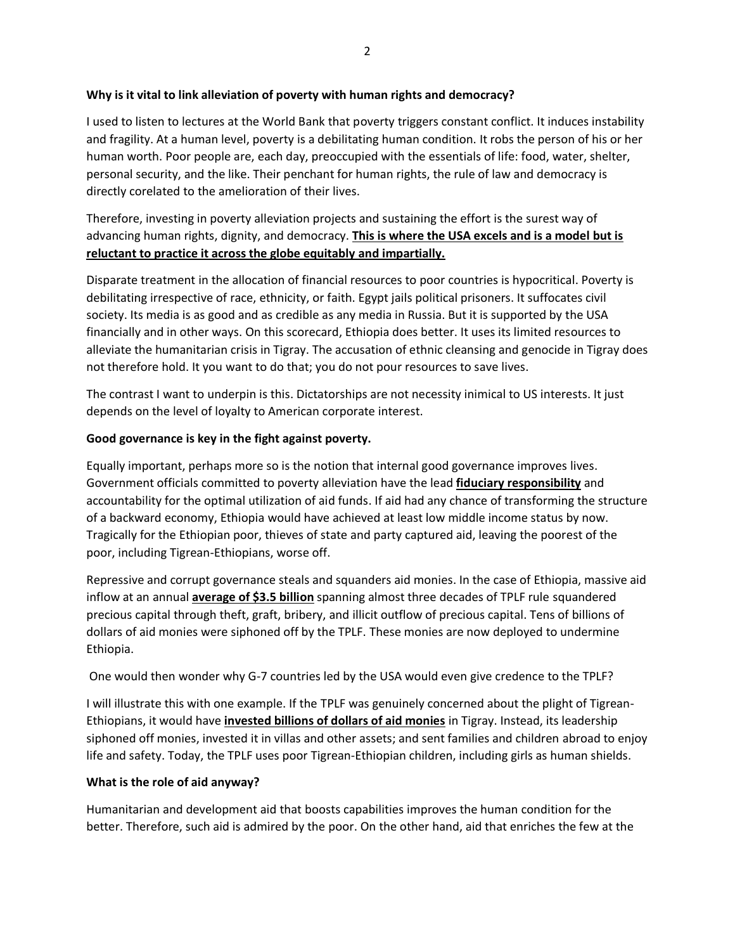#### **Why is it vital to link alleviation of poverty with human rights and democracy?**

I used to listen to lectures at the World Bank that poverty triggers constant conflict. It induces instability and fragility. At a human level, poverty is a debilitating human condition. It robs the person of his or her human worth. Poor people are, each day, preoccupied with the essentials of life: food, water, shelter, personal security, and the like. Their penchant for human rights, the rule of law and democracy is directly corelated to the amelioration of their lives.

Therefore, investing in poverty alleviation projects and sustaining the effort is the surest way of advancing human rights, dignity, and democracy. **This is where the USA excels and is a model but is reluctant to practice it across the globe equitably and impartially.** 

Disparate treatment in the allocation of financial resources to poor countries is hypocritical. Poverty is debilitating irrespective of race, ethnicity, or faith. Egypt jails political prisoners. It suffocates civil society. Its media is as good and as credible as any media in Russia. But it is supported by the USA financially and in other ways. On this scorecard, Ethiopia does better. It uses its limited resources to alleviate the humanitarian crisis in Tigray. The accusation of ethnic cleansing and genocide in Tigray does not therefore hold. It you want to do that; you do not pour resources to save lives.

The contrast I want to underpin is this. Dictatorships are not necessity inimical to US interests. It just depends on the level of loyalty to American corporate interest.

### **Good governance is key in the fight against poverty.**

Equally important, perhaps more so is the notion that internal good governance improves lives. Government officials committed to poverty alleviation have the lead **fiduciary responsibility** and accountability for the optimal utilization of aid funds. If aid had any chance of transforming the structure of a backward economy, Ethiopia would have achieved at least low middle income status by now. Tragically for the Ethiopian poor, thieves of state and party captured aid, leaving the poorest of the poor, including Tigrean-Ethiopians, worse off.

Repressive and corrupt governance steals and squanders aid monies. In the case of Ethiopia, massive aid inflow at an annual **average of \$3.5 billion** spanning almost three decades of TPLF rule squandered precious capital through theft, graft, bribery, and illicit outflow of precious capital. Tens of billions of dollars of aid monies were siphoned off by the TPLF. These monies are now deployed to undermine Ethiopia.

One would then wonder why G-7 countries led by the USA would even give credence to the TPLF?

I will illustrate this with one example. If the TPLF was genuinely concerned about the plight of Tigrean-Ethiopians, it would have **invested billions of dollars of aid monies** in Tigray. Instead, its leadership siphoned off monies, invested it in villas and other assets; and sent families and children abroad to enjoy life and safety. Today, the TPLF uses poor Tigrean-Ethiopian children, including girls as human shields.

#### **What is the role of aid anyway?**

Humanitarian and development aid that boosts capabilities improves the human condition for the better. Therefore, such aid is admired by the poor. On the other hand, aid that enriches the few at the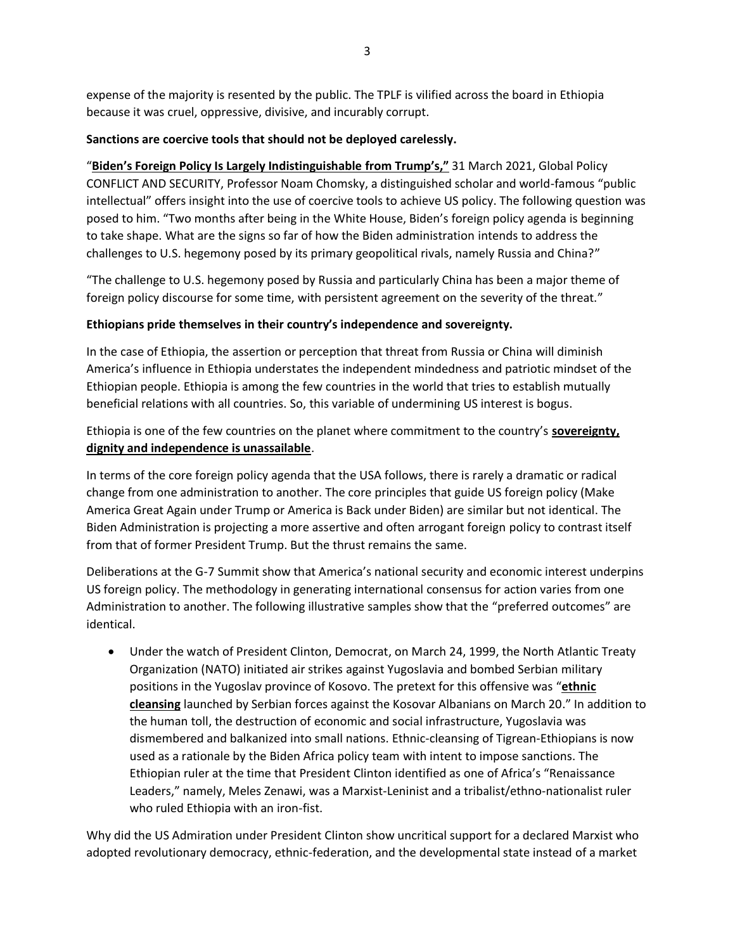expense of the majority is resented by the public. The TPLF is vilified across the board in Ethiopia because it was cruel, oppressive, divisive, and incurably corrupt.

#### **Sanctions are coercive tools that should not be deployed carelessly.**

"**Biden's Foreign Policy Is Largely Indistinguishable from Trump's,"** 31 March 2021, Global Policy CONFLICT AND SECURITY, Professor Noam Chomsky, a distinguished scholar and world-famous "public intellectual" offers insight into the use of coercive tools to achieve US policy. The following question was posed to him. "Two months after being in the White House, Biden's foreign policy agenda is beginning to take shape. What are the signs so far of how the Biden administration intends to address the challenges to U.S. hegemony posed by its primary geopolitical rivals, namely Russia and China?"

"The challenge to U.S. hegemony posed by Russia and particularly China has been a major theme of foreign policy discourse for some time, with persistent agreement on the severity of the threat."

### **Ethiopians pride themselves in their country's independence and sovereignty.**

In the case of Ethiopia, the assertion or perception that threat from Russia or China will diminish America's influence in Ethiopia understates the independent mindedness and patriotic mindset of the Ethiopian people. Ethiopia is among the few countries in the world that tries to establish mutually beneficial relations with all countries. So, this variable of undermining US interest is bogus.

Ethiopia is one of the few countries on the planet where commitment to the country's **sovereignty, dignity and independence is unassailable**.

In terms of the core foreign policy agenda that the USA follows, there is rarely a dramatic or radical change from one administration to another. The core principles that guide US foreign policy (Make America Great Again under Trump or America is Back under Biden) are similar but not identical. The Biden Administration is projecting a more assertive and often arrogant foreign policy to contrast itself from that of former President Trump. But the thrust remains the same.

Deliberations at the G-7 Summit show that America's national security and economic interest underpins US foreign policy. The methodology in generating international consensus for action varies from one Administration to another. The following illustrative samples show that the "preferred outcomes" are identical.

• Under the watch of President Clinton, Democrat, on March 24, 1999, the North Atlantic Treaty Organization (NATO) initiated air strikes against Yugoslavia and bombed Serbian military positions in the Yugoslav province of Kosovo. The pretext for this offensive was "**ethnic cleansing** launched by Serbian forces against the Kosovar Albanians on March 20." In addition to the human toll, the destruction of economic and social infrastructure, Yugoslavia was dismembered and balkanized into small nations. Ethnic-cleansing of Tigrean-Ethiopians is now used as a rationale by the Biden Africa policy team with intent to impose sanctions. The Ethiopian ruler at the time that President Clinton identified as one of Africa's "Renaissance Leaders," namely, Meles Zenawi, was a Marxist-Leninist and a tribalist/ethno-nationalist ruler who ruled Ethiopia with an iron-fist.

Why did the US Admiration under President Clinton show uncritical support for a declared Marxist who adopted revolutionary democracy, ethnic-federation, and the developmental state instead of a market